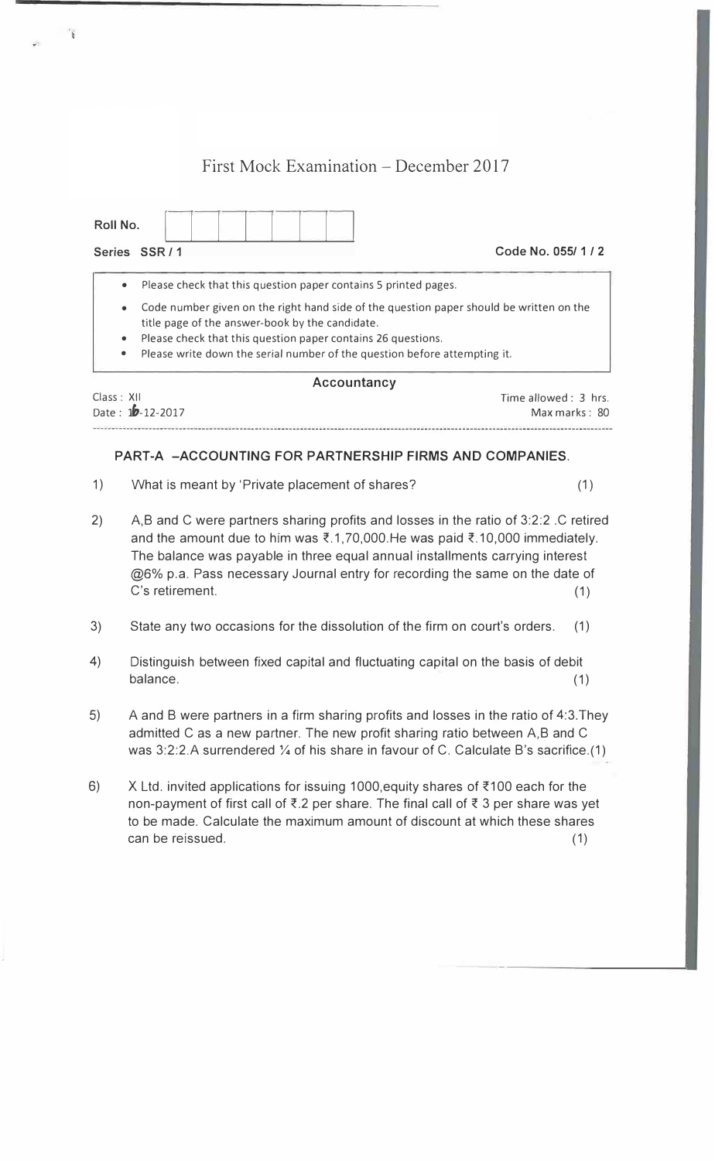# First Mock Examination – December 2017

| Roll No.                            |                                                                                                                                                                                                                                                                                         |  |
|-------------------------------------|-----------------------------------------------------------------------------------------------------------------------------------------------------------------------------------------------------------------------------------------------------------------------------------------|--|
|                                     | Code No. 055/1/2<br>Series SSR/1                                                                                                                                                                                                                                                        |  |
| $\bullet$                           | Please check that this question paper contains 5 printed pages.                                                                                                                                                                                                                         |  |
| $\bullet$<br>$\bullet$<br>$\bullet$ | Code number given on the right hand side of the question paper should be written on the<br>title page of the answer-book by the candidate.<br>Please check that this question paper contains 26 questions.<br>Please write down the serial number of the question before attempting it. |  |

| ACCOUNTING       |                      |  |  |
|------------------|----------------------|--|--|
| Class: XII       | Time allowed: 3 hrs. |  |  |
| Date: 10-12-2017 | Max marks: 80        |  |  |
|                  |                      |  |  |

**Accountancy** 

## **PART-A -ACCOUNTING FOR PARTNERSHIP FIRMS AND COMPANIES.**

- 1) What is meant by 'Private placement of shares? (1)
- 2) A,B and C were partners sharing profits and losses in the ratio of 3:2:2 .C retired and the amount due to him was  $\bar{\xi}$ .1, 70,000. He was paid  $\bar{\xi}$ .10,000 immediately. The balance was payable in three equal annual installments carrying interest @6% p.a. Pass necessary Journal entry for recording the same on the date of C's retirement. (1)
- 3) State any two occasions for the dissolution of the firm on court's orders. (1)
- 4) Distinguish between fixed capital and fluctuating capital on the basis of debit  $b$ alance.  $(1)$
- 5) A and B were partners in a firm sharing profits and losses in the ratio of 4:3.They admitted C as a new partner. The new profit sharing ratio between A,B and C was 3:2:2.A surrendered 1/4 of his share in favour of C. Calculate B's sacrifice.(1)
- 6) X Ltd. invited applications for issuing 1000, equity shares of  $\overline{\xi}$ 100 each for the non-payment of first call of  $\overline{\xi}$ .2 per share. The final call of  $\overline{\xi}$  3 per share was yet to be made. Calculate the maximum amount of discount at which these shares can be reissued. (1)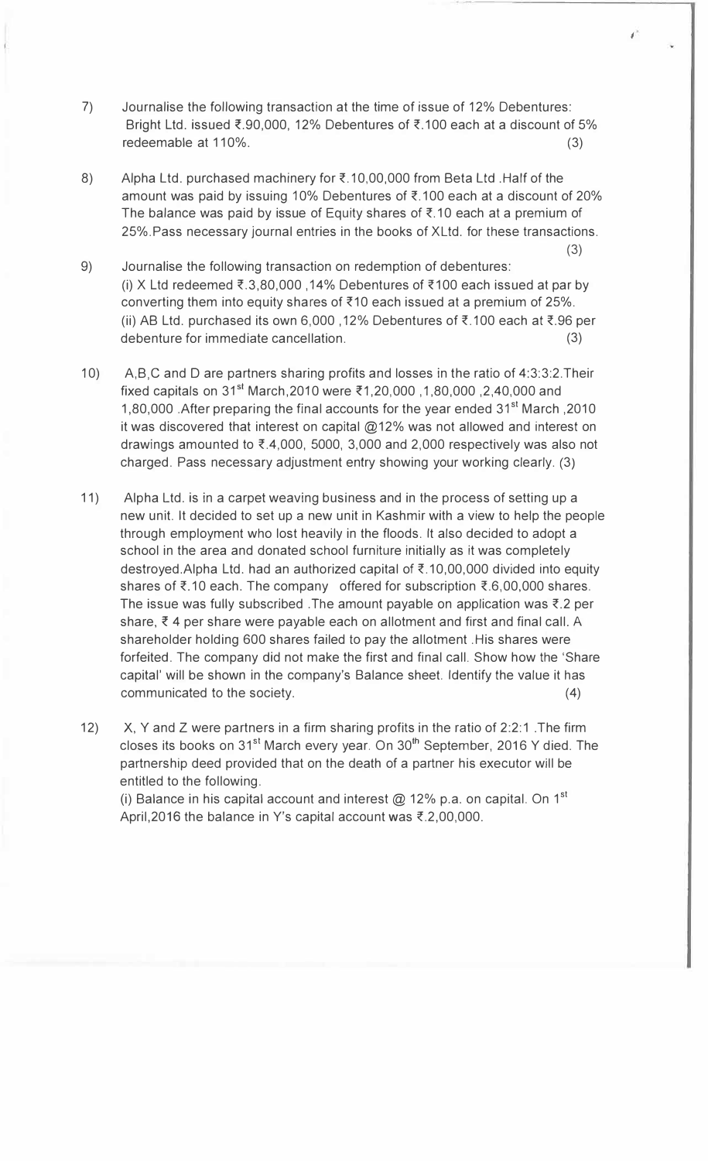- 7) Journalise the following transaction at the time of issue of 12% Debentures: Bright Ltd. issued  $\overline{\xi}$ .90,000, 12% Debentures of  $\overline{\xi}$ .100 each at a discount of 5% redeemable at 110%. (3)
- 8) Alpha Ltd. purchased machinery for  $\overline{\xi}$ .10,00,000 from Beta Ltd. Half of the amount was paid by issuing 10% Debentures of  $\overline{\xi}$ .100 each at a discount of 20% The balance was paid by issue of Equity shares of  $\bar{\tau}$ .10 each at a premium of 25%.Pass necessary journal entries in the books of Xltd. for these transactions.
- 9) Journalise the following transaction on redemption of debentures: (i) X Ltd redeemed  $\overline{\xi}$ .3,80,000,14% Debentures of  $\overline{\xi}$ 100 each issued at par by converting them into equity shares of  $\bar{x}$ 10 each issued at a premium of 25%. (ii) AB Ltd. purchased its own 6,000, 12% Debentures of  $\bar{\tau}$ .100 each at  $\bar{\tau}$ .96 per debenture for immediate cancellation. (3)
- 10) A,B,C and Dare partners sharing profits and losses in the ratio of 4:3:3:2.Their fixed capitals on 31<sup>st</sup> March, 2010 were ₹1, 20,000 , 1,80,000 , 2,40,000 and 1,80,000 .After preparing the final accounts for the year ended 31st March ,2010 it was discovered that interest on capital @12% was not allowed and interest on drawings amounted to  $\overline{\xi}$ .4,000, 5000, 3,000 and 2,000 respectively was also not charged. Pass necessary adjustment entry showing your working clearly. (3)
- 11) Alpha Ltd. is in a carpet weaving business and in the process of setting up a new unit. It decided to set up a new unit in Kashmir with a view to help the people through employment who lost heavily in the floods. It also decided to adopt a school in the area and donated school furniture initially as it was completely destroyed. Alpha Ltd. had an authorized capital of  $\overline{\xi}$ . 10,00,000 divided into equity shares of  $\overline{\tau}$ .10 each. The company offered for subscription  $\overline{\tau}$ .6,00,000 shares. The issue was fully subscribed. The amount payable on application was  $\bar{\tau}$ . 2 per share,  $\bar{\xi}$  4 per share were payable each on allotment and first and final call. A shareholder holding 600 shares failed to pay the allotment .His shares were forfeited. The company did not make the first and final call. Show how the 'Share capital' will be shown in the company's Balance sheet. Identify the value it has communicated to the society. (4)
- 12) X, Y and Z were partners in a firm sharing profits in the ratio of 2:2:1. The firm closes its books on  $31<sup>st</sup>$  March every year. On  $30<sup>th</sup>$  September, 2016 Y died. The partnership deed provided that on the death of a partner his executor will be entitled to the following.

(i) Balance in his capital account and interest @ 12% p.a. on capital. On 1<sup>st</sup> April, 2016 the balance in Y's capital account was  $\bar{\tau}$ . 2,00,000.

*I* 

(3)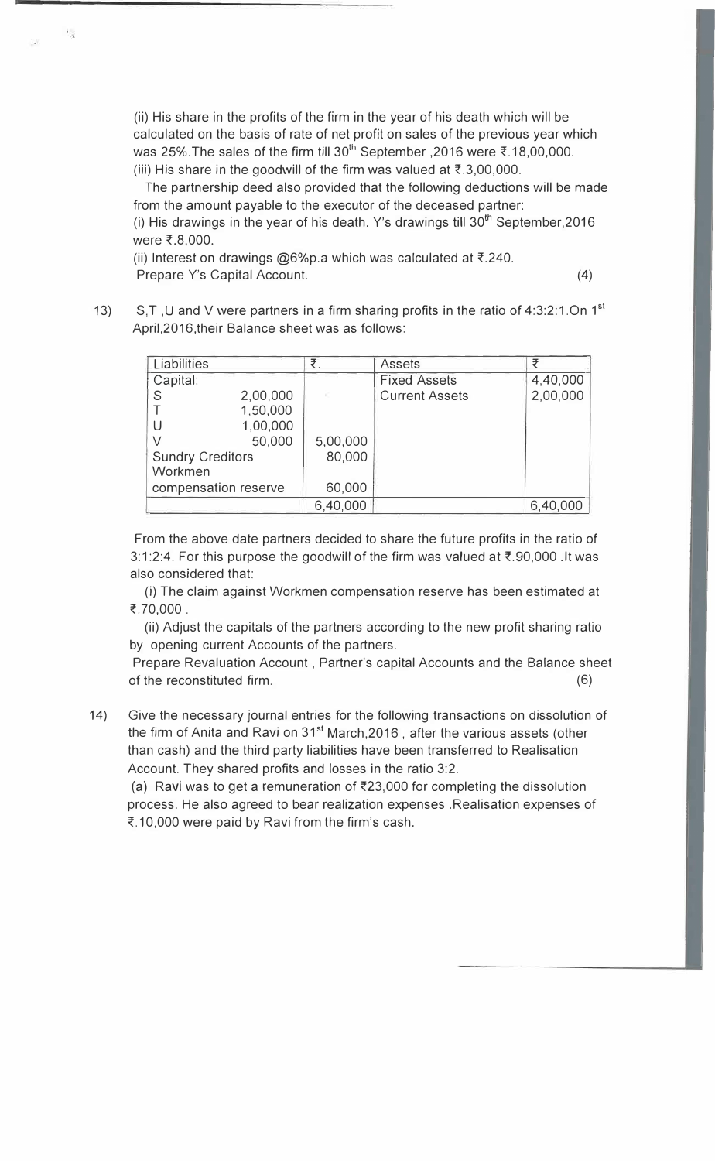(ii) His share in the profits of the firm in the year of his death which will be calculated on the basis of rate of net profit on sales of the previous year which was 25%. The sales of the firm till 30<sup>th</sup> September , 2016 were  $\bar{\tau}$ . 18,00,000. (iii) His share in the goodwill of the firm was valued at  $\bar{\tau}$ , 3,00,000.

The partnership deed also provided that the following deductions will be made from the amount payable to the executor of the deceased partner:

(i) His drawings in the year of his death. Y's drawings till  $30<sup>th</sup>$  September, 2016 were ₹.8,000.

(ii) Interest on drawings  $@6\%p.a$  which was calculated at  $\bar{\tau}$ .240. Prepare Y's Capital Account. (4) (4)

13) S,T, U and V were partners in a firm sharing profits in the ratio of 4:3:2:1.On 1<sup>st</sup> April,2016,their Balance sheet was as follows:

| Liabilities             |                      | ₹        | <b>Assets</b>         | ₹        |
|-------------------------|----------------------|----------|-----------------------|----------|
| Capital:                |                      |          | <b>Fixed Assets</b>   | 4,40,000 |
| S                       | 2,00,000             |          | <b>Current Assets</b> | 2,00,000 |
|                         | 1,50,000             |          |                       |          |
|                         | 1,00,000             |          |                       |          |
|                         | 50,000               | 5,00,000 |                       |          |
| <b>Sundry Creditors</b> |                      | 80,000   |                       |          |
| Workmen                 |                      |          |                       |          |
|                         | compensation reserve | 60,000   |                       |          |
|                         |                      | 6,40,000 |                       | 6,40,000 |

From the above date partners decided to share the future profits in the ratio of 3:1:2:4. For this purpose the goodwill of the firm was valued at  $\overline{\xi}$ .90,000 .It was also considered that:

(i) The claim against Workmen compensation reserve has been estimated at ₹.70,000.

(ii) Adjust the capitals of the partners according to the new profit sharing ratio by opening current Accounts of the partners.

Prepare Revaluation Account , Partner's capital Accounts and the Balance sheet of the reconstituted firm. (6)

14) Give the necessary journal entries for the following transactions on dissolution of the firm of Anita and Ravi on 31<sup>st</sup> March, 2016, after the various assets (other than cash) and the third party liabilities have been transferred to Realisation Account. They shared profits and losses in the ratio 3:2.

(a) Ravi was to get a remuneration of  $\bar{\xi}$ 23,000 for completing the dissolution process. He also agreed to bear realization expenses .Realisation expenses of ₹.10,000 were paid by Ravi from the firm's cash.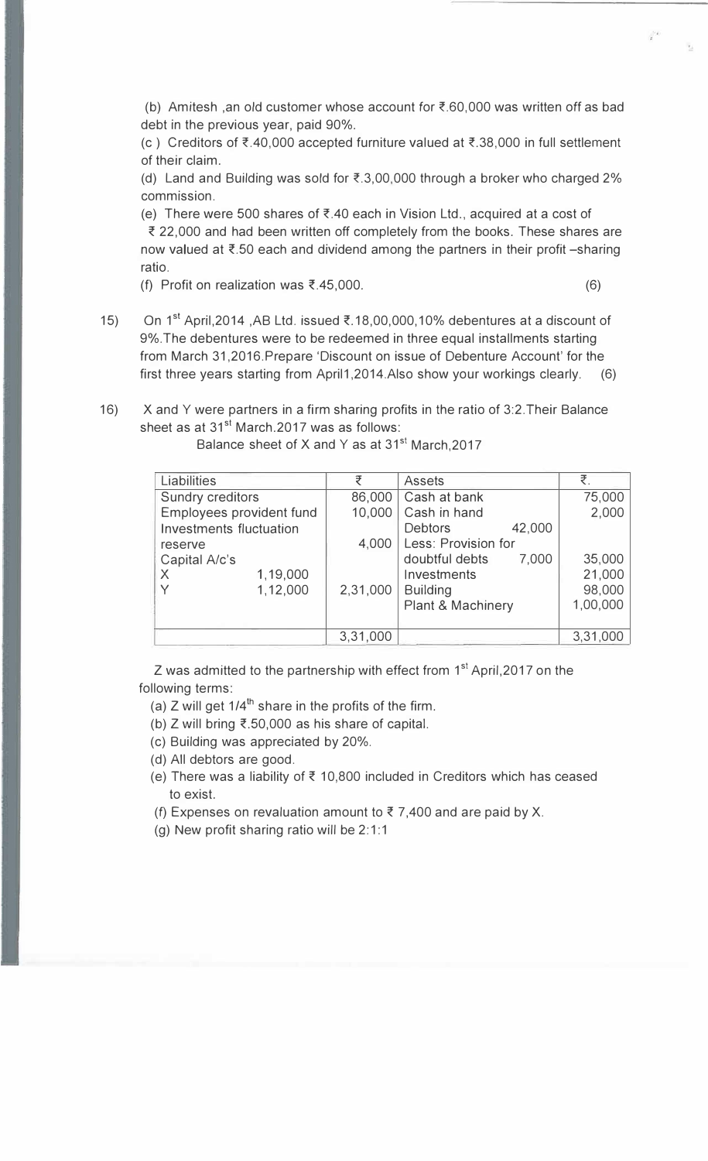(b) Amitesh, an old customer whose account for  $\bar{\mathcal{F}}$ .60,000 was written off as bad debt in the previous year, paid 90%.

(c) Creditors of  $\bar{\xi}$ ,40,000 accepted furniture valued at  $\bar{\xi}$ ,38,000 in full settlement of their claim.

(d) Land and Building was sold for  $\bar{\xi}$ .3,00,000 through a broker who charged 2% commission.

(e) There were 500 shares of  $\overline{\xi}$  40 each in Vision Ltd., acquired at a cost of

₹ 22,000 and had been written off completely from the books. These shares are now valued at  $\bar{\tau}$ .50 each and dividend among the partners in their profit -sharing ratio.

- (f) Profit on realization was  $\bar{x}$ .45,000. (6)
- 15) On 1<sup>st</sup> April,2014 ,AB Ltd. issued ₹.18,00,000,10% debentures at a discount of 9%.The debentures were to be redeemed in three equal installments starting from March 31,2016.Prepare 'Discount on issue of Debenture Account' for the first three years starting from April1,2014.Also show your workings clearly.  $(6)$
- 16) X and Y were partners in a firm sharing profits in the ratio of 3:2.Their Balance sheet as at 31<sup>st</sup> March.2017 was as follows:

| Liabilities                    |          |          | <b>Assets</b>       |        | ₹.       |
|--------------------------------|----------|----------|---------------------|--------|----------|
| <b>Sundry creditors</b>        |          | 86,000   | Cash at bank        |        | 75,000   |
| Employees provident fund       |          | 10,000   | Cash in hand        |        | 2,000    |
| <b>Investments fluctuation</b> |          |          | <b>Debtors</b>      | 42,000 |          |
| reserve                        |          | 4,000    | Less: Provision for |        |          |
| Capital A/c's                  |          |          | doubtful debts      | 7,000  | 35,000   |
| $\times$                       | 1,19,000 |          | Investments         |        | 21,000   |
|                                | 1,12,000 | 2,31,000 | <b>Building</b>     |        | 98,000   |
|                                |          |          | Plant & Machinery   |        | 1,00,000 |
|                                |          |          |                     |        |          |
|                                |          | 3,31,000 |                     |        | 3,31,000 |

Balance sheet of X and Y as at 31<sup>st</sup> March, 2017

Z was admitted to the partnership with effect from 1<sup>st</sup> April,2017 on the following terms:

(a) Z will get  $1/4^{\text{th}}$  share in the profits of the firm.

- (b) Z will bring ₹.50,000 as his share of capital.
- (c) Building was appreciated by 20%.
- (d) All debtors are good.
- (e) There was a liability of  $\bar{\tau}$  10,800 included in Creditors which has ceased to exist.
- (f) Expenses on revaluation amount to  $\bar{\tau}$  7,400 and are paid by X.
- (g) New profit sharing ratio will be  $2:1:1$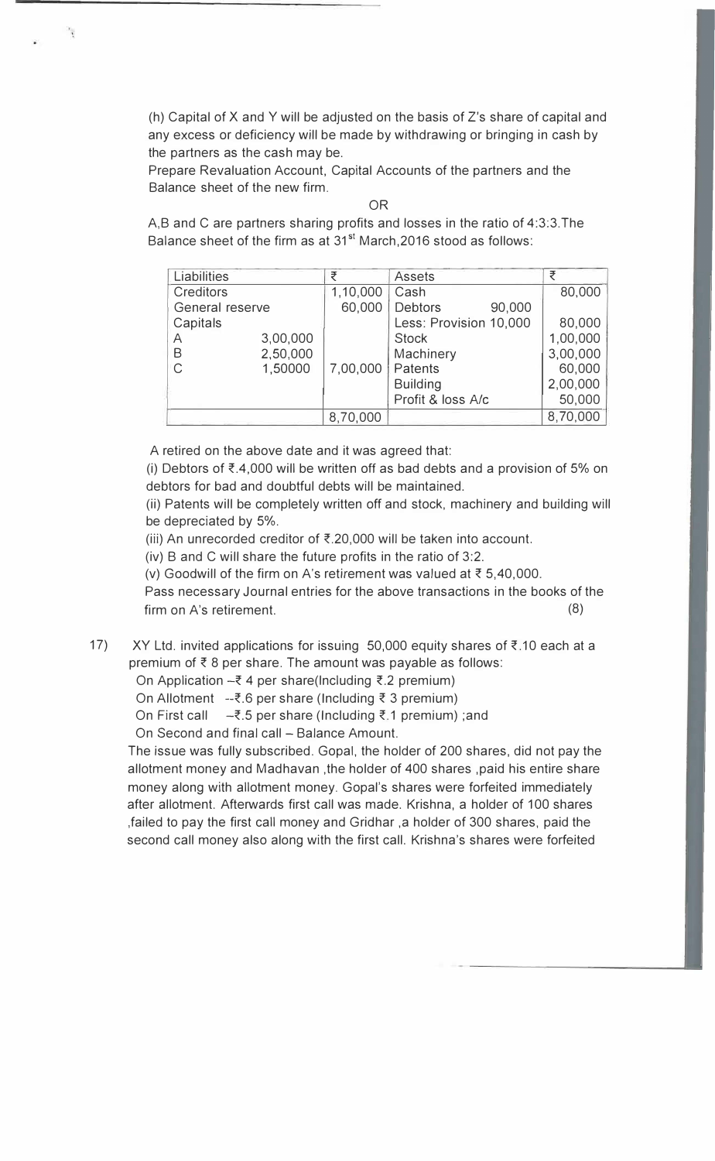(h) Capital of X and Y will be adjusted on the basis of Z's share of capital and any excess or deficiency will be made by withdrawing or bringing in cash by the partners as the cash may be.

Prepare Revaluation Account, Capital Accounts of the partners and the Balance sheet of the new firm.

OR

A,B and C are partners sharing profits and losses in the ratio of 4:3:3.The Balance sheet of the firm as at 31<sup>st</sup> March, 2016 stood as follows:

| Liabilities     |          | ₹        | <b>Assets</b>            |          |
|-----------------|----------|----------|--------------------------|----------|
| Creditors       |          | 1,10,000 | Cash                     | 80,000   |
| General reserve |          | 60,000   | 90,000<br><b>Debtors</b> |          |
| Capitals        |          |          | Less: Provision 10,000   | 80,000   |
| Α               | 3,00,000 |          | <b>Stock</b>             | 1,00,000 |
| B               | 2,50,000 |          | Machinery                | 3,00,000 |
| $\mathsf{C}$    | 1,50000  | 7,00,000 | Patents                  | 60,000   |
|                 |          |          | <b>Building</b>          | 2,00,000 |
|                 |          |          | Profit & loss A/c        | 50,000   |
|                 |          | 8,70,000 |                          | 8,70,000 |

A retired on the above date and it was agreed that:

(i) Debtors of  $\bar{\tau}$ .4,000 will be written off as bad debts and a provision of 5% on debtors for bad and doubtful debts will be maintained.

(ii) Patents will be completely written off and stock, machinery and building will be depreciated by 5%.

- (iii) An unrecorded creditor of  $\bar{\xi}$ .20,000 will be taken into account.
- (iv) B and C will share the future profits in the ratio of 3:2.

(v) Goodwill of the firm on A's retirement was valued at *z* 5,40,000.

Pass necessary Journal entries for the above transactions in the books of the firm on A's retirement. (8)

17) XY Ltd. invited applications for issuing 50,000 equity shares of *z* .10 each at a premium of  $\bar{\xi}$  8 per share. The amount was payable as follows:

On Application *-z* 4 per share(lncluding *z.2* premium)

On Allotment --z.6 per share (Including *z* 3 premium)

On First call  $\sim$ ₹.5 per share (Including ₹.1 premium) ;and

On Second and final call - Balance Amount.

The issue was fully subscribed. Gopal, the holder of 200 shares, did not pay the allotment money and Madhavan ,the holder of 400 shares ,paid his entire share money along with allotment money. Gopal's shares were forfeited immediately after allotment. Afterwards first call was made. Krishna, a holder of 100 shares ,failed to pay the first call money and Gridhar ,a holder of 300 shares, paid the second call money also along with the first call. Krishna's shares were forfeited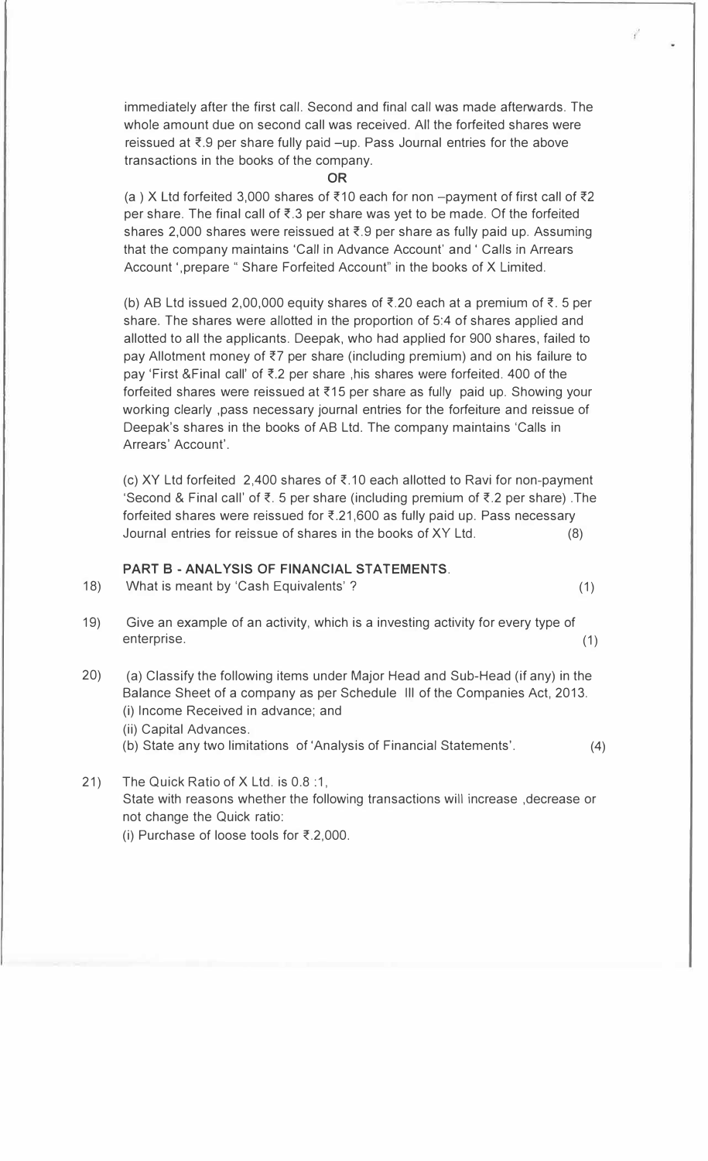immediately after the first call. Second and final call was made afterwards. The whole amount due on second call was received. All the forfeited shares were reissued at  $\bar{\tau}$ .9 per share fully paid -up. Pass Journal entries for the above transactions in the books of the company.

#### **OR**

(a ) X Ltd forfeited 3,000 shares of {10 each for non -payment of first call of *z2* per share. The final call of  $\bar{\xi}$ . 3 per share was yet to be made. Of the forfeited shares 2,000 shares were reissued at  $\bar{\tau}$ .9 per share as fully paid up. Assuming that the company maintains 'Call in Advance Account' and ' Calls in Arrears Account ', prepare " Share Forfeited Account" in the books of X Limited.

(b) AB Ltd issued 2,00,000 equity shares of  $\overline{\xi}$ .20 each at a premium of  $\overline{\xi}$ . 5 per share. The shares were allotted in the proportion of 5:4 of shares applied and allotted to all the applicants. Deepak, who had applied for 900 shares, failed to pay Allotment money of *z7* per share (including premium) and on his failure to pay 'First &Final call' of  $\overline{\xi}$ .2 per share, his shares were forfeited. 400 of the forfeited shares were reissued at  $\xi$ 15 per share as fully paid up. Showing your working clearly ,pass necessary journal entries for the forfeiture and reissue of Deepak's shares in the books of AB Ltd. The company maintains 'Calls in Arrears' Account'.

(c) XY Ltd forfeited 2,400 shares of  $\bar{\xi}$ .10 each allotted to Ravi for non-payment 'Second & Final call' of  $\overline{\xi}$ . 5 per share (including premium of  $\overline{\xi}$ . 2 per share). The forfeited shares were reissued for  $\overline{\epsilon}$ .21,600 as fully paid up. Pass necessary Journal entries for reissue of shares in the books of XY Ltd. (8)

### **PART B -ANALYSIS OF FINANCIAL STATEMENTS.**

- 18) What is meant by 'Cash Equivalents' ? (1)
- 19) Give an example of an activity, which is a investing activity for every type of enterprise. (1)
- 20) (a) Classify the following items under Major Head and Sub-Head (if any) in the Balance Sheet of a company as per Schedule Ill of the Companies Act, 2013. (i) Income Received in advance; and
	- (ii) Capital Advances.
	- (b) State any two limitations of 'Analysis of Financial Statements'. (4)
- 21) The Quick Ratio of X Ltd. is 0.8 :1, State with reasons whether the following transactions will increase ,decrease or not change the Quick ratio:
	- (i) Purchase of loose tools for  $\overline{\xi}$ .2,000.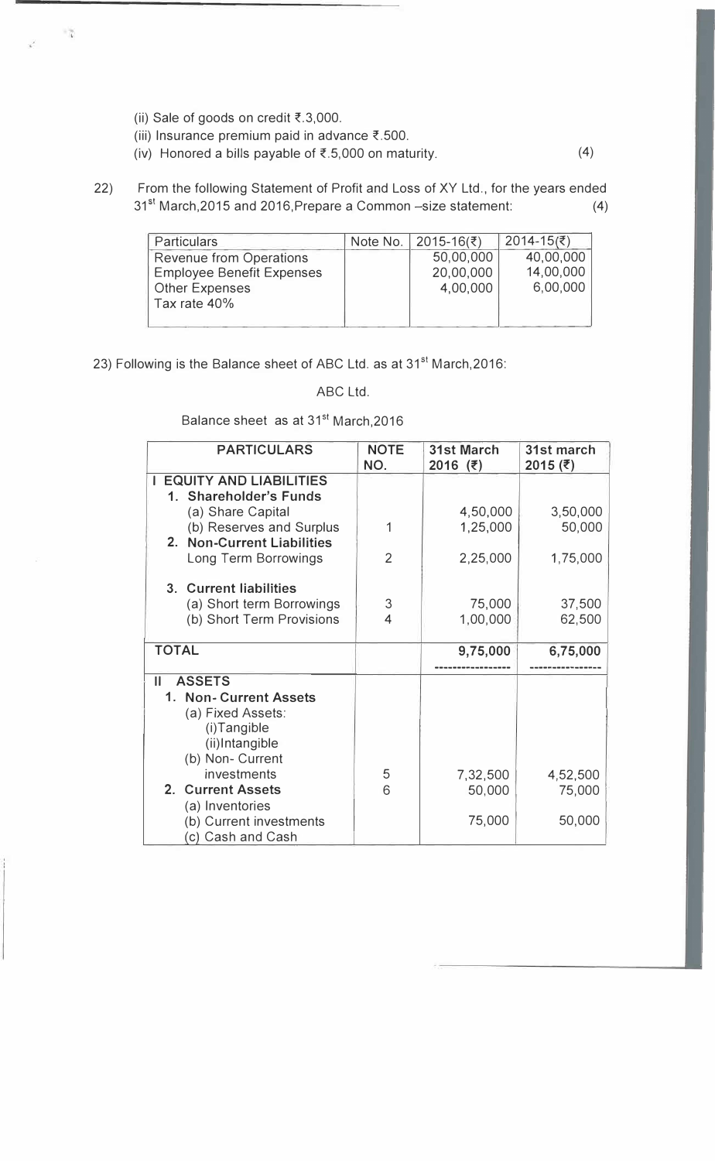- (ii) Sale of goods on credit  $\xi$ .3,000.
- (iii) Insurance premium paid in advance  $\overline{\epsilon}$ .500.
- (iv) Honored a bills payable of  $\overline{\epsilon}$ .5,000 on maturity. (4)
- 22) From the following Statement of Profit and Loss of XY Ltd., for the years ended 31st March,2015 and 2016,Prepare a Common -size statement: (4)

| <b>Particulars</b>               | Note No.   2015-16(₹) | $2014-15(₹)$ |
|----------------------------------|-----------------------|--------------|
| Revenue from Operations          | 50,00,000             | 40,00,000    |
| <b>Employee Benefit Expenses</b> | 20,00,000             | 14,00,000    |
| <b>Other Expenses</b>            | 4,00,000              | 6,00,000     |
| Tax rate 40%                     |                       |              |
|                                  |                       |              |

23) Following is the Balance sheet of ABC Ltd. as at 31<sup>st</sup> March, 2016:

## ABC Ltd.

Balance sheet as at 31<sup>st</sup> March, 2016

| <b>PARTICULARS</b>                          | <b>NOTE</b><br>NO. | <b>31st March</b><br>$2016$ (₹) | 31st march<br>2015 (そ) |
|---------------------------------------------|--------------------|---------------------------------|------------------------|
| <b>EQUITY AND LIABILITIES</b>               |                    |                                 |                        |
| 1. Shareholder's Funds<br>(a) Share Capital |                    | 4,50,000                        | 3,50,000               |
| (b) Reserves and Surplus                    | 1                  | 1,25,000                        | 50,000                 |
| 2. Non-Current Liabilities                  | $\overline{2}$     |                                 |                        |
| Long Term Borrowings                        |                    | 2,25,000                        | 1,75,000               |
| 3. Current liabilities                      |                    |                                 |                        |
| (a) Short term Borrowings                   | 3                  | 75,000                          | 37,500                 |
| (b) Short Term Provisions                   | 4                  | 1,00,000                        | 62,500                 |
| <b>TOTAL</b>                                |                    | 9,75,000                        | 6,75,000               |
|                                             |                    |                                 |                        |
| <b>ASSETS</b><br>Ш                          |                    |                                 |                        |
| 1. Non- Current Assets                      |                    |                                 |                        |
| (a) Fixed Assets:                           |                    |                                 |                        |
| (i)Tangible<br>(ii)Intangible               |                    |                                 |                        |
| (b) Non- Current                            |                    |                                 |                        |
| investments                                 | 5                  | 7,32,500                        | 4,52,500               |
| 2. Current Assets                           | 6                  | 50,000                          | 75,000                 |
| (a) Inventories                             |                    |                                 |                        |
| (b) Current investments                     |                    | 75,000                          | 50,000                 |
| (c) Cash and Cash                           |                    |                                 |                        |